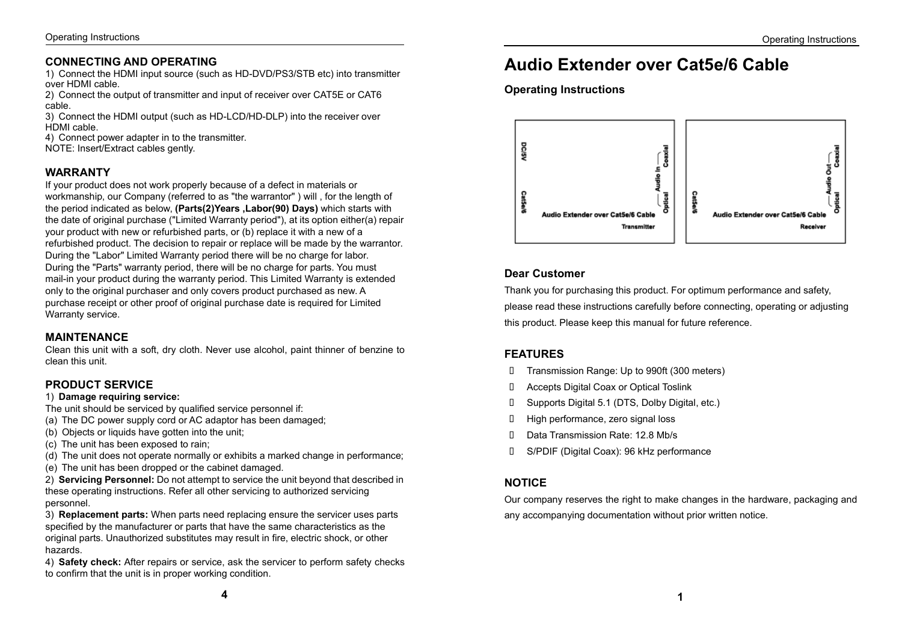#### **CONNECTING AND OPERATING**

1) Connect the HDMI input source (such as HD-DVD/PS3/STB etc) into transmitter over HDMI cable.

2) Connect the output of transmitter and input of receiver over CAT5E or CAT6 cable.

3) Connect the HDMI output (such as HD-LCD/HD-DLP) into the receiver over HDMI cable.

4) Connect power adapter in to the transmitter.

NOTE: Insert/Extract cables gently.

#### **WARRANTY**

If your product does not work properly because of a defect in materials or workmanship, our Company (referred to as "the warrantor" ) will , for the length of the period indicated as below, **(Parts(2)Years ,Labor(90) Days)** which starts with the date of original purchase ("Limited Warranty period"), at its option either(a) repair your product with new or refurbished parts, or (b) replace it with a new of a refurbished product. The decision to repair or replace will be made by the warrantor. During the "Labor" Limited Warranty period there will be no charge for labor. During the "Parts" warranty period, there will be no charge for parts. You must mail-in your product during the warranty period. This Limited Warranty is extended only to the original purchaser and only covers product purchased as new. A purchase receipt or other proof of original purchase date is required for Limited Warranty service.

#### **MAINTENANCE**

Clean this unit with a soft, dry cloth. Never use alcohol, paint thinner of benzine to clean this unit.

# **PRODUCT SERVICE**

1) **Damage requiring service:**

- The unit should be serviced by qualified service personnel if:
- (a) The DC power supply cord or AC adaptor has been damaged;
- (b) Objects or liquids have gotten into the unit:
- (c) The unit has been exposed to rain;
- (d) The unit does not operate normally or exhibits a marked change in performance;
- (e) The unit has been dropped or the cabinet damaged.

2) **Servicing Personnel:** Do not attempt to service the unit beyond that described in these operating instructions. Refer all other servicing to authorized servicing personnel.

3) **Replacement parts:** When parts need replacing ensure the servicer uses parts specified by the manufacturer or parts that have the same characteristics as the original parts. Unauthorized substitutes may result in fire, electric shock, or other hazards.

4) **Safety check:** After repairs or service, ask the servicer to perform safety checks to confirm that the unit is in proper working condition.

# **Audio Extender over Cat5e/6 Cable**

**Operating Instructions**



# **Dear Customer**

Thank you for purchasing this product. For optimum performance and safety, please read these instructions carefully before connecting, operating or adjusting this product. Please keep this manual for future reference.

# **FEATURES**

- Transmission Range: Up to 990ft (300 meters)
- Accepts Digital Coax or Optical Toslink
- Supports Digital 5.1 (DTS, Dolby Digital, etc.)
- High performance, zero signal loss
- D Data Transmission Rate: 12.8 Mb/s
- S/PDIF (Digital Coax): 96 kHz performance

# **NOTICE**

Our company reserves the right to make changes in the hardware, packaging and any accompanying documentation without prior written notice.